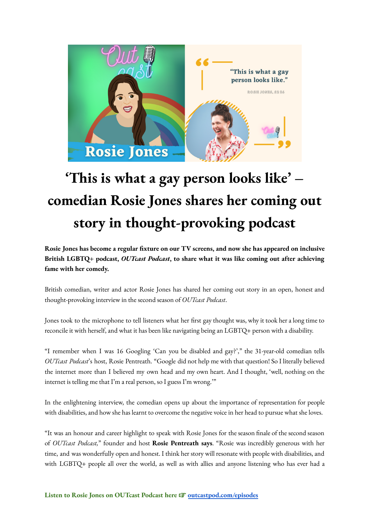

## **'This is what a gay person looks like' – comedian Rosie Jones shares her coming out story in thought-provoking podcast**

**Rosie Jones has become a regular fixture on our TV screens, and now she has appeared on inclusive British LGBTQ+ podcast,** *OUTcast Podcast***, to share what it was like coming out after achieving fame with her comedy.**

British comedian, writer and actor Rosie Jones has shared her coming out story in an open, honest and thought-provoking interview in the second season of *OUTcast Podcast*.

Jones took to the microphone to tell listeners what her first gay thought was, why it took her a long time to reconcile it with herself, and what it has been like navigating being an LGBTQ+ person with a disability.

"I remember when I was 16 Googling 'Can you be disabled and gay?'," the 31-year-old comedian tells *OUTcast Podcast*'s host, Rosie Pentreath. "Google did not help me with that question! So I literally believed the internet more than I believed my own head and my own heart. And I thought, 'well, nothing on the internet is telling me that I'm a real person, so I guess I'm wrong.'"

In the enlightening interview, the comedian opens up about the importance of representation for people with disabilities, and how she has learnt to overcome the negative voice in her head to pursue what she loves.

"It was an honour and career highlight to speak with Rosie Jones for the season finale of the second season of *OUTcast Podcast,*" founder and host **Rosie Pentreath says**. "Rosie was incredibly generous with her time, and was wonderfully open and honest. I think her story will resonate with people with disabilities, and with LGBTQ+ people all over the world, as well as with allies and anyone listening who has ever had a